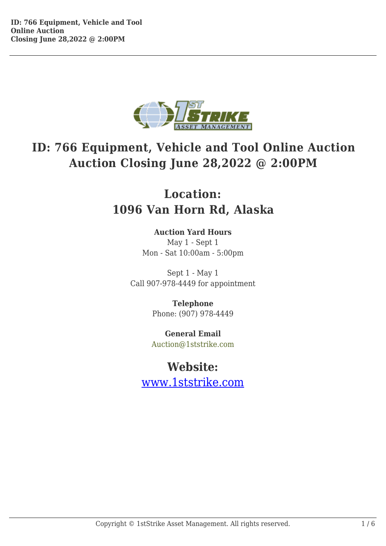

## **ID: 766 Equipment, Vehicle and Tool Online Auction Auction Closing June 28,2022 @ 2:00PM**

## **Location: 1096 Van Horn Rd, Alaska**

## **Auction Yard Hours**

May 1 - Sept 1 Mon - Sat 10:00am - 5:00pm

Sept 1 - May 1 Call 907-978-4449 for appointment

> **Telephone** Phone: (907) 978-4449

**General Email** Auction@1ststrike.com

## **Website:**

www.1ststrike.com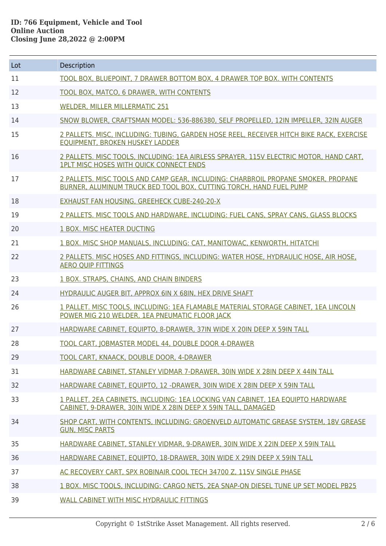| Lot | Description                                                                                                                                             |
|-----|---------------------------------------------------------------------------------------------------------------------------------------------------------|
| 11  | TOOL BOX, BLUEPOINT, 7 DRAWER BOTTOM BOX, 4 DRAWER TOP BOX. WITH CONTENTS                                                                               |
| 12  | TOOL BOX, MATCO, 6 DRAWER, WITH CONTENTS                                                                                                                |
| 13  | <b>WELDER, MILLER MILLERMATIC 251</b>                                                                                                                   |
| 14  | SNOW BLOWER, CRAFTSMAN MODEL: 536-886380, SELF PROPELLED, 12IN IMPELLER, 32IN AUGER                                                                     |
| 15  | 2 PALLETS. MISC, INCLUDING: TUBING, GARDEN HOSE REEL, RECEIVER HITCH BIKE RACK, EXERCISE<br><b>EQUIPMENT, BROKEN HUSKEY LADDER</b>                      |
| 16  | 2 PALLETS, MISC TOOLS, INCLUDING: 1EA AIRLESS SPRAYER, 115V ELECTRIC MOTOR, HAND CART,<br><b>IPLT MISC HOSES WITH QUICK CONNECT ENDS</b>                |
| 17  | 2 PALLETS. MISC TOOLS AND CAMP GEAR, INCLUDING: CHARBROIL PROPANE SMOKER, PROPANE<br>BURNER, ALUMINUM TRUCK BED TOOL BOX, CUTTING TORCH, HAND FUEL PUMP |
| 18  | EXHAUST FAN HOUSING, GREEHECK CUBE-240-20-X                                                                                                             |
| 19  | 2 PALLETS. MISC TOOLS AND HARDWARE. INCLUDING: FUEL CANS. SPRAY CANS. GLASS BLOCKS                                                                      |
| 20  | 1 BOX. MISC HEATER DUCTING                                                                                                                              |
| 21  | 1 BOX. MISC SHOP MANUALS, INCLUDING: CAT, MANITOWAC, KENWORTH, HITATCHI                                                                                 |
| 22  | 2 PALLETS. MISC HOSES AND FITTINGS, INCLUDING: WATER HOSE, HYDRAULIC HOSE, AIR HOSE,<br><b>AERO QUIP FITTINGS</b>                                       |
| 23  | 1 BOX. STRAPS, CHAINS, AND CHAIN BINDERS                                                                                                                |
| 24  | HYDRAULIC AUGER BIT, APPROX 6IN X 68IN, HEX DRIVE SHAFT                                                                                                 |
| 26  | 1 PALLET. MISC TOOLS, INCLUDING: 1EA FLAMABLE MATERIAL STORAGE CABINET, 1EA LINCOLN<br>POWER MIG 210 WELDER, 1EA PNEUMATIC FLOOR JACK                   |
| 27  | HARDWARE CABINET, EOUIPTO, 8-DRAWER, 37IN WIDE X 20IN DEEP X 59IN TALL                                                                                  |
| 28  | TOOL CART, JOBMASTER MODEL 44, DOUBLE DOOR 4-DRAWER                                                                                                     |
| 29  | TOOL CART, KNAACK, DOUBLE DOOR, 4-DRAWER                                                                                                                |
| 31  | HARDWARE CABINET, STANLEY VIDMAR 7-DRAWER, 30IN WIDE X 28IN DEEP X 44IN TALL                                                                            |
| 32  | HARDWARE CABINET, EQUIPTO, 12 - DRAWER, 30IN WIDE X 28IN DEEP X 59IN TALL                                                                               |
| 33  | 1 PALLET. 2EA CABINETS, INCLUDING: 1EA LOCKING VAN CABINET, 1EA EQUIPTO HARDWARE<br>CABINET, 9-DRAWER, 30IN WIDE X 28IN DEEP X 59IN TALL, DAMAGED       |
| 34  | SHOP CART, WITH CONTENTS, INCLUDING: GROENVELD AUTOMATIC GREASE SYSTEM, 18V GREASE<br><b>GUN. MISC PARTS</b>                                            |
| 35  | HARDWARE CABINET, STANLEY VIDMAR, 9-DRAWER, 30IN WIDE X 22IN DEEP X 59IN TALL                                                                           |
| 36  | HARDWARE CABINET, EQUIPTO, 18-DRAWER, 30IN WIDE X 29IN DEEP X 59IN TALL                                                                                 |
| 37  | AC RECOVERY CART, SPX ROBINAIR COOL TECH 34700 Z, 115V SINGLE PHASE                                                                                     |
| 38  | 1 BOX, MISC TOOLS, INCLUDING: CARGO NETS, 2EA SNAP-ON DIESEL TUNE UP SET MODEL PB25                                                                     |
| 39  | WALL CABINET WITH MISC HYDRAULIC FITTINGS                                                                                                               |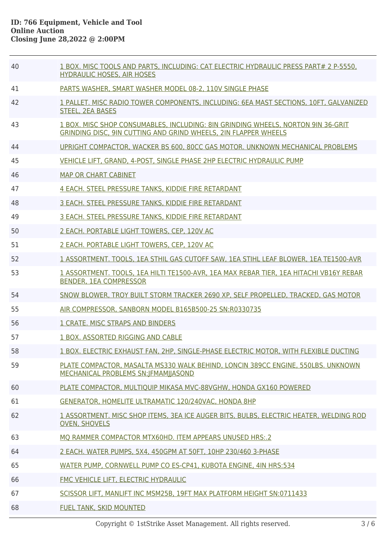| 40 | 1 BOX. MISC TOOLS AND PARTS, INCLUDING: CAT ELECTRIC HYDRAULIC PRESS PART# 2 P-5550,<br><b>HYDRAULIC HOSES, AIR HOSES</b>                           |
|----|-----------------------------------------------------------------------------------------------------------------------------------------------------|
| 41 | PARTS WASHER, SMART WASHER MODEL 08-2, 110V SINGLE PHASE                                                                                            |
| 42 | 1 PALLET. MISC RADIO TOWER COMPONENTS, INCLUDING: 6EA MAST SECTIONS, 10FT, GALVANIZED<br><b>STEEL, 2EA BASES</b>                                    |
| 43 | 1 BOX. MISC SHOP CONSUMABLES, INCLUDING: 8IN GRINDING WHEELS, NORTON 9IN 36-GRIT<br>GRINDING DISC, 9IN CUTTING AND GRIND WHEELS, 2IN FLAPPER WHEELS |
| 44 | UPRIGHT COMPACTOR, WACKER BS 600, 80CC GAS MOTOR, UNKNOWN MECHANICAL PROBLEMS                                                                       |
| 45 | VEHICLE LIFT, GRAND, 4-POST, SINGLE PHASE 2HP ELECTRIC HYDRAULIC PUMP                                                                               |
| 46 | <b>MAP OR CHART CABINET</b>                                                                                                                         |
| 47 | 4 EACH. STEEL PRESSURE TANKS, KIDDIE FIRE RETARDANT                                                                                                 |
| 48 | 3 EACH. STEEL PRESSURE TANKS, KIDDIE FIRE RETARDANT                                                                                                 |
| 49 | 3 EACH, STEEL PRESSURE TANKS, KIDDIE FIRE RETARDANT                                                                                                 |
| 50 | 2 EACH. PORTABLE LIGHT TOWERS, CEP, 120V AC                                                                                                         |
| 51 | 2 EACH. PORTABLE LIGHT TOWERS, CEP, 120V AC                                                                                                         |
| 52 | 1 ASSORTMENT. TOOLS, 1EA STHIL GAS CUTOFF SAW, 1EA STIHL LEAF BLOWER, 1EA TE1500-AVR                                                                |
| 53 | 1 ASSORTMENT. TOOLS, 1EA HILTI TE1500-AVR, 1EA MAX REBAR TIER, 1EA HITACHI VB16Y REBAR<br><b>BENDER, 1EA COMPRESSOR</b>                             |
| 54 | SNOW BLOWER, TROY BUILT STORM TRACKER 2690 XP, SELF PROPELLED, TRACKED, GAS MOTOR                                                                   |
| 55 | AIR COMPRESSOR, SANBORN MODEL B165B500-25 SN:R0330735                                                                                               |
| 56 | 1 CRATE. MISC STRAPS AND BINDERS                                                                                                                    |
| 57 | 1 BOX. ASSORTED RIGGING AND CABLE                                                                                                                   |
| 58 | 1 BOX. ELECTRIC EXHAUST FAN, 2HP, SINGLE-PHASE ELECTRIC MOTOR, WITH FLEXIBLE DUCTING                                                                |
| 59 | PLATE COMPACTOR, MASALTA MS330 WALK BEHIND, LONCIN 389CC ENGINE, 550LBS, UNKNOWN<br>MECHANICAL PROBLEMS SN:   FMAM  JASOND                          |
| 60 | PLATE COMPACTOR, MULTIQUIP MIKASA MVC-88VGHW, HONDA GX160 POWERED                                                                                   |
| 61 | GENERATOR, HOMELITE ULTRAMATIC 120/240VAC, HONDA 8HP                                                                                                |
| 62 | 1 ASSORTMENT. MISC SHOP ITEMS, 3EA ICE AUGER BITS, BULBS, ELECTRIC HEATER, WELDING ROD<br><b>OVEN, SHOVELS</b>                                      |
| 63 | MO RAMMER COMPACTOR MTX60HD. ITEM APPEARS UNUSED HRS:.2                                                                                             |
| 64 | 2 EACH. WATER PUMPS, 5X4, 450GPM AT 50FT, 10HP 230/460 3-PHASE                                                                                      |
| 65 | WATER PUMP, CORNWELL PUMP CO ES-CP41, KUBOTA ENGINE, 4IN HRS:534                                                                                    |
| 66 | FMC VEHICLE LIFT, ELECTRIC HYDRAULIC                                                                                                                |
| 67 | SCISSOR LIFT, MANLIFT INC MSM25B, 19FT MAX PLATFORM HEIGHT SN:0711433                                                                               |
| 68 | <b>FUEL TANK, SKID MOUNTED</b>                                                                                                                      |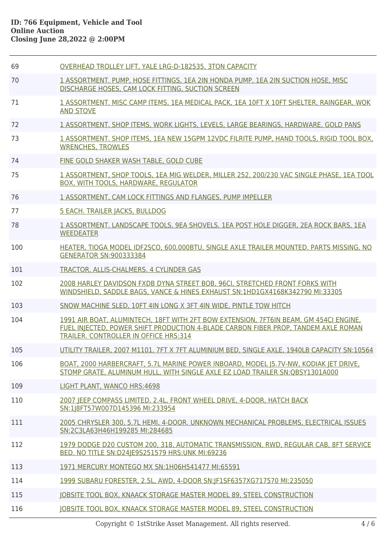| 69  | OVERHEAD TROLLEY LIFT, YALE LRG-D-182535, 3TON CAPACITY                                                                                                                                                                     |
|-----|-----------------------------------------------------------------------------------------------------------------------------------------------------------------------------------------------------------------------------|
| 70  | 1 ASSORTMENT. PUMP, HOSE FITTINGS, 1EA 2IN HONDA PUMP, 1EA 2IN SUCTION HOSE, MISC<br>DISCHARGE HOSES, CAM LOCK FITTING, SUCTION SCREEN                                                                                      |
| 71  | 1 ASSORTMENT. MISC CAMP ITEMS, 1EA MEDICAL PACK, 1EA 10FT X 10FT SHELTER, RAINGEAR, WOK<br><b>AND STOVE</b>                                                                                                                 |
| 72  | 1 ASSORTMENT, SHOP ITEMS, WORK LIGHTS, LEVELS, LARGE BEARINGS, HARDWARE, GOLD PANS                                                                                                                                          |
| 73  | 1 ASSORTMENT. SHOP ITEMS, 1EA NEW 15GPM 12VDC FILRITE PUMP, HAND TOOLS, RIGID TOOL BOX,<br><b>WRENCHES, TROWLES</b>                                                                                                         |
| 74  | FINE GOLD SHAKER WASH TABLE, GOLD CUBE                                                                                                                                                                                      |
| 75  | 1 ASSORTMENT, SHOP TOOLS, 1EA MIG WELDER, MILLER 252, 200/230 VAC SINGLE PHASE, 1EA TOOL<br>BOX, WITH TOOLS, HARDWARE, REGULATOR                                                                                            |
| 76  | 1 ASSORTMENT, CAM LOCK FITTINGS AND FLANGES, PUMP IMPELLER                                                                                                                                                                  |
| 77  | 5 EACH. TRAILER JACKS, BULLDOG                                                                                                                                                                                              |
| 78  | 1 ASSORTMENT, LANDSCAPE TOOLS, 9EA SHOVELS, 1EA POST HOLE DIGGER, 2EA ROCK BARS, 1EA<br><b>WEEDEATER</b>                                                                                                                    |
| 100 | HEATER, TIOGA MODEL IDF2SCO, 600,000BTU, SINGLE AXLE TRAILER MOUNTED. PARTS MISSING. NO<br><b>GENERATOR SN:900333384</b>                                                                                                    |
| 101 | TRACTOR, ALLIS-CHALMERS. 4 CYLINDER GAS                                                                                                                                                                                     |
| 102 | 2008 HARLEY DAVIDSON FXDB DYNA STREET BOB, 96CI, STRETCHED FRONT FORKS WITH<br>WINDSHIELD, SADDLE BAGS, VANCE & HINES EXHAUST SN:1HD1GX4168K342790 MI:33305                                                                 |
| 103 | SNOW MACHINE SLED, 10FT 4IN LONG X 3FT 4IN WIDE, PINTLE TOW HITCH                                                                                                                                                           |
| 104 | 1991 AIR BOAT, ALUMINTECH, 18FT WITH 2FT BOW EXTENSION, 7FT6IN BEAM, GM 454CI ENGINE,<br>FUEL INJECTED, POWER SHIFT PRODUCTION 4-BLADE CARBON FIBER PROP, TANDEM AXLE ROMAN<br><b>TRAILER. CONTROLLER IN OFFICE HRS:314</b> |
| 105 | UTILITY TRAILER, 2007 M1101, 7FT X 7FT ALUMINIUM BED, SINGLE AXLE, 1940LB CAPACITY SN:10564                                                                                                                                 |
| 106 | BOAT, 2000 HARBERCRAFT, 5.7L MARINE POWER INBOARD, MODEL 15.7V-NW, KODIAK JET DRIVE,<br>STOMP GRATE, ALUMINUM HULL, WITH SINGLE AXLE EZ LOAD TRAILER SN:OBSY1301A000                                                        |
| 109 | LIGHT PLANT, WANCO HRS: 4698                                                                                                                                                                                                |
| 110 | 2007 JEEP COMPASS LIMITED, 2.4L, FRONT WHEEL DRIVE, 4-DOOR, HATCH BACK<br>SN:1 8FT57W007D145396 MI:233954                                                                                                                   |
| 111 | 2005 CHRYSLER 300, 5.7L HEMI, 4-DOOR. UNKNOWN MECHANICAL PROBLEMS, ELECTRICAL ISSUES<br>SN:2C3LA63H46H199285 MI:284685                                                                                                      |
| 112 | 1979 DODGE D20 CUSTOM 200, 318, AUTOMATIC TRANSMISSION, RWD, REGULAR CAB, 8FT SERVICE<br>BED. NO TITLE SN:D24JE9S251579 HRS:UNK MI:69236                                                                                    |
| 113 | 1971 MERCURY MONTEGO MX SN:1H06H541477 MI:65591                                                                                                                                                                             |
| 114 | 1999 SUBARU FORESTER, 2.5L, AWD, 4-DOOR SN:JF1SF6357XG717570 MI:235050                                                                                                                                                      |
| 115 | <b>JOBSITE TOOL BOX, KNAACK STORAGE MASTER MODEL 89, STEEL CONSTRUCTION</b>                                                                                                                                                 |
| 116 | JOBSITE TOOL BOX, KNAACK STORAGE MASTER MODEL 89, STEEL CONSTRUCTION                                                                                                                                                        |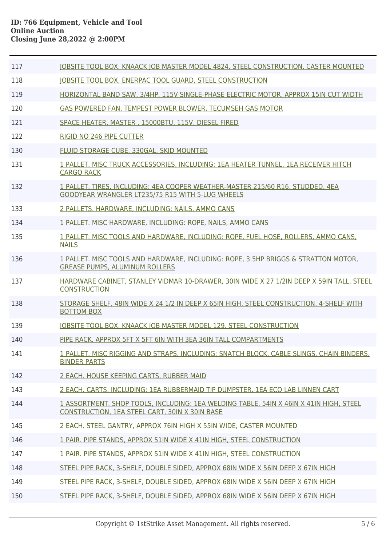| 117 | JOBSITE TOOL BOX, KNAACK JOB MASTER MODEL 4824, STEEL CONSTRUCTION, CASTER MOUNTED                                                       |
|-----|------------------------------------------------------------------------------------------------------------------------------------------|
| 118 | JOBSITE TOOL BOX, ENERPAC TOOL GUARD, STEEL CONSTRUCTION                                                                                 |
| 119 | HORIZONTAL BAND SAW, 3/4HP, 115V SINGLE-PHASE ELECTRIC MOTOR, APPROX 15IN CUT WIDTH                                                      |
| 120 | GAS POWERED FAN, TEMPEST POWER BLOWER, TECUMSEH GAS MOTOR                                                                                |
| 121 | SPACE HEATER, MASTER, 15000BTU, 115V, DIESEL FIRED                                                                                       |
| 122 | <b>RIGID NO 246 PIPE CUTTER</b>                                                                                                          |
| 130 | FLUID STORAGE CUBE, 330GAL, SKID MOUNTED                                                                                                 |
| 131 | 1 PALLET, MISC TRUCK ACCESSORIES, INCLUDING: 1EA HEATER TUNNEL, 1EA RECEIVER HITCH<br><b>CARGO RACK</b>                                  |
| 132 | 1 PALLET. TIRES, INCLUDING: 4EA COOPER WEATHER-MASTER 215/60 R16, STUDDED, 4EA<br>GOODYEAR WRANGLER LT235/75 R15 WITH 5-LUG WHEELS       |
| 133 | 2 PALLETS. HARDWARE, INCLUDING: NAILS, AMMO CANS                                                                                         |
| 134 | 1 PALLET. MISC HARDWARE, INCLUDING: ROPE, NAILS, AMMO CANS                                                                               |
| 135 | 1 PALLET, MISC TOOLS AND HARDWARE, INCLUDING; ROPE, FUEL HOSE, ROLLERS, AMMO CANS,<br><b>NAILS</b>                                       |
| 136 | 1 PALLET. MISC TOOLS AND HARDWARE, INCLUDING: ROPE, 3.5HP BRIGGS & STRATTON MOTOR,<br><b>GREASE PUMPS, ALUMINUM ROLLERS</b>              |
| 137 | HARDWARE CABINET, STANLEY VIDMAR 10-DRAWER, 30IN WIDE X 27 1/2IN DEEP X 59IN TALL, STEEL<br><b>CONSTRUCTION</b>                          |
| 138 | STORAGE SHELF, 48IN WIDE X 24 1/2 IN DEEP X 65IN HIGH, STEEL CONSTRUCTION, 4-SHELF WITH<br><b>BOTTOM BOX</b>                             |
| 139 | JOBSITE TOOL BOX, KNAACK JOB MASTER MODEL 129, STEEL CONSTRUCTION                                                                        |
| 140 | PIPE RACK, APPROX 5FT X 5FT 6IN WITH 3EA 36IN TALL COMPARTMENTS                                                                          |
| 141 | 1 PALLET. MISC RIGGING AND STRAPS, INCLUDING: SNATCH BLOCK, CABLE SLINGS, CHAIN BINDERS,<br><b>BINDER PARTS</b>                          |
| 142 | 2 EACH. HOUSE KEEPING CARTS, RUBBER MAID                                                                                                 |
| 143 | 2 EACH. CARTS, INCLUDING: 1EA RUBBERMAID TIP DUMPSTER, 1EA ECO LAB LINNEN CART                                                           |
| 144 | 1 ASSORTMENT. SHOP TOOLS, INCLUDING: 1EA WELDING TABLE, 54IN X 46IN X 41IN HIGH, STEEL<br>CONSTRUCTION, 1EA STEEL CART, 30IN X 30IN BASE |
| 145 | 2 EACH. STEEL GANTRY, APPROX 76IN HIGH X 55IN WIDE, CASTER MOUNTED                                                                       |
| 146 | 1 PAIR. PIPE STANDS, APPROX 51IN WIDE X 41IN HIGH, STEEL CONSTRUCTION                                                                    |
| 147 | 1 PAIR. PIPE STANDS, APPROX 51IN WIDE X 41IN HIGH, STEEL CONSTRUCTION                                                                    |
| 148 | STEEL PIPE RACK, 3-SHELF, DOUBLE SIDED, APPROX 68IN WIDE X 56IN DEEP X 67IN HIGH                                                         |
| 149 | STEEL PIPE RACK, 3-SHELF, DOUBLE SIDED, APPROX 68IN WIDE X 56IN DEEP X 67IN HIGH                                                         |
| 150 | STEEL PIPE RACK, 3-SHELF, DOUBLE SIDED, APPROX 68IN WIDE X 56IN DEEP X 67IN HIGH                                                         |
|     |                                                                                                                                          |